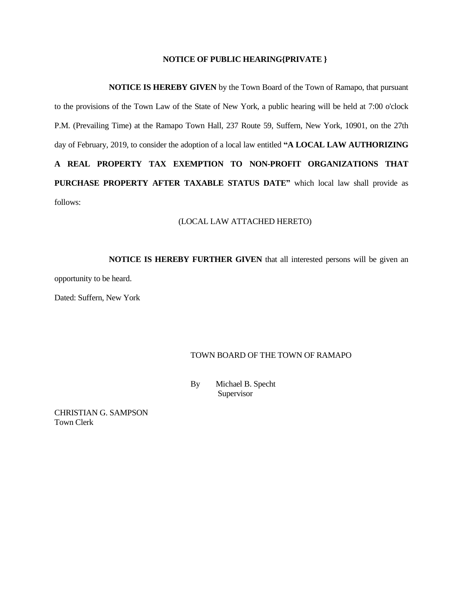#### **NOTICE OF PUBLIC HEARING{PRIVATE }**

**NOTICE IS HEREBY GIVEN** by the Town Board of the Town of Ramapo, that pursuant to the provisions of the Town Law of the State of New York, a public hearing will be held at 7:00 o'clock P.M. (Prevailing Time) at the Ramapo Town Hall, 237 Route 59, Suffern, New York, 10901, on the 27th day of February, 2019, to consider the adoption of a local law entitled **"A LOCAL LAW AUTHORIZING A REAL PROPERTY TAX EXEMPTION TO NON-PROFIT ORGANIZATIONS THAT PURCHASE PROPERTY AFTER TAXABLE STATUS DATE"** which local law shall provide as follows:

#### (LOCAL LAW ATTACHED HERETO)

**NOTICE IS HEREBY FURTHER GIVEN** that all interested persons will be given an opportunity to be heard.

Dated: Suffern, New York

### TOWN BOARD OF THE TOWN OF RAMAPO

 By Michael B. Specht Supervisor

CHRISTIAN G. SAMPSON Town Clerk